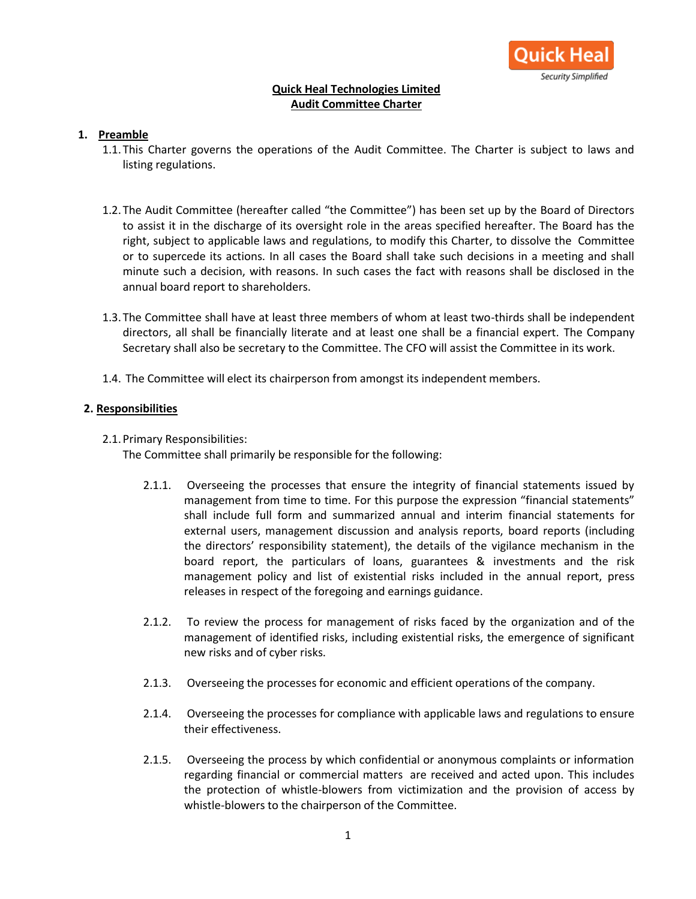

# **Quick Heal Technologies Limited Audit Committee Charter**

# **1. Preamble**

- 1.1.This Charter governs the operations of the Audit Committee. The Charter is subject to laws and listing regulations.
- 1.2.The Audit Committee (hereafter called "the Committee") has been set up by the Board of Directors to assist it in the discharge of its oversight role in the areas specified hereafter. The Board has the right, subject to applicable laws and regulations, to modify this Charter, to dissolve the Committee or to supercede its actions. In all cases the Board shall take such decisions in a meeting and shall minute such a decision, with reasons. In such cases the fact with reasons shall be disclosed in the annual board report to shareholders.
- 1.3.The Committee shall have at least three members of whom at least two-thirds shall be independent directors, all shall be financially literate and at least one shall be a financial expert. The Company Secretary shall also be secretary to the Committee. The CFO will assist the Committee in its work.
- 1.4. The Committee will elect its chairperson from amongst its independent members.

#### **2. Responsibilities**

2.1.Primary Responsibilities:

The Committee shall primarily be responsible for the following:

- 2.1.1. Overseeing the processes that ensure the integrity of financial statements issued by management from time to time. For this purpose the expression "financial statements" shall include full form and summarized annual and interim financial statements for external users, management discussion and analysis reports, board reports (including the directors' responsibility statement), the details of the vigilance mechanism in the board report, the particulars of loans, guarantees & investments and the risk management policy and list of existential risks included in the annual report, press releases in respect of the foregoing and earnings guidance.
- 2.1.2. To review the process for management of risks faced by the organization and of the management of identified risks, including existential risks, the emergence of significant new risks and of cyber risks.
- 2.1.3. Overseeing the processes for economic and efficient operations of the company.
- 2.1.4. Overseeing the processes for compliance with applicable laws and regulations to ensure their effectiveness.
- 2.1.5. Overseeing the process by which confidential or anonymous complaints or information regarding financial or commercial matters are received and acted upon. This includes the protection of whistle-blowers from victimization and the provision of access by whistle-blowers to the chairperson of the Committee.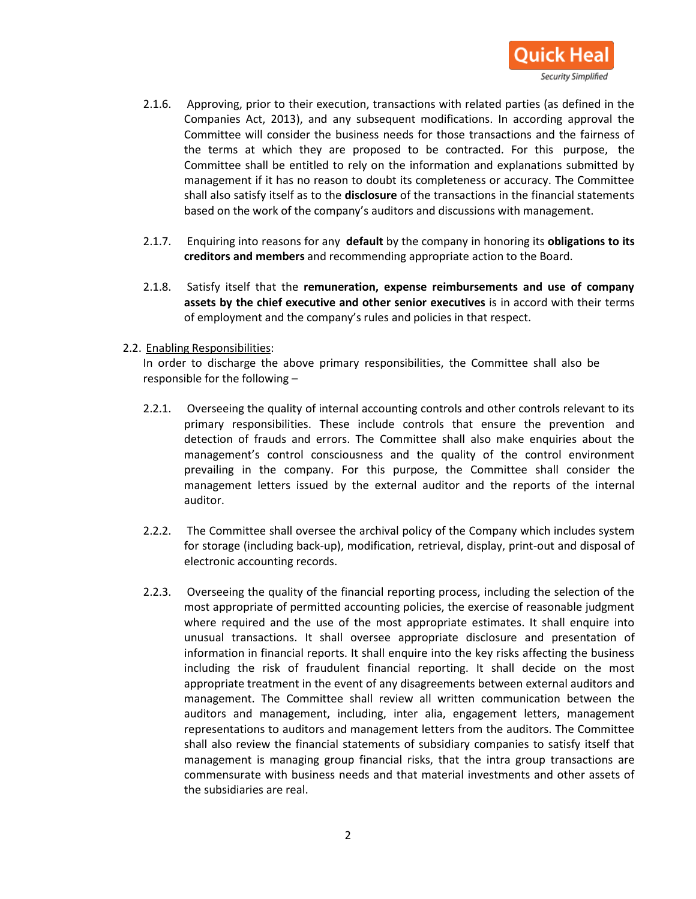

- 2.1.6. Approving, prior to their execution, transactions with related parties (as defined in the Companies Act, 2013), and any subsequent modifications. In according approval the Committee will consider the business needs for those transactions and the fairness of the terms at which they are proposed to be contracted. For this purpose, the Committee shall be entitled to rely on the information and explanations submitted by management if it has no reason to doubt its completeness or accuracy. The Committee shall also satisfy itself as to the **disclosure** of the transactions in the financial statements based on the work of the company's auditors and discussions with management.
- 2.1.7. Enquiring into reasons for any **default** by the company in honoring its **obligations to its creditors and members** and recommending appropriate action to the Board.
- 2.1.8. Satisfy itself that the **remuneration, expense reimbursements and use of company assets by the chief executive and other senior executives** is in accord with their terms of employment and the company's rules and policies in that respect.

#### 2.2. Enabling Responsibilities:

In order to discharge the above primary responsibilities, the Committee shall also be responsible for the following –

- 2.2.1. Overseeing the quality of internal accounting controls and other controls relevant to its primary responsibilities. These include controls that ensure the prevention and detection of frauds and errors. The Committee shall also make enquiries about the management's control consciousness and the quality of the control environment prevailing in the company. For this purpose, the Committee shall consider the management letters issued by the external auditor and the reports of the internal auditor.
- 2.2.2. The Committee shall oversee the archival policy of the Company which includes system for storage (including back-up), modification, retrieval, display, print-out and disposal of electronic accounting records.
- 2.2.3. Overseeing the quality of the financial reporting process, including the selection of the most appropriate of permitted accounting policies, the exercise of reasonable judgment where required and the use of the most appropriate estimates. It shall enquire into unusual transactions. It shall oversee appropriate disclosure and presentation of information in financial reports. It shall enquire into the key risks affecting the business including the risk of fraudulent financial reporting. It shall decide on the most appropriate treatment in the event of any disagreements between external auditors and management. The Committee shall review all written communication between the auditors and management, including, inter alia, engagement letters, management representations to auditors and management letters from the auditors. The Committee shall also review the financial statements of subsidiary companies to satisfy itself that management is managing group financial risks, that the intra group transactions are commensurate with business needs and that material investments and other assets of the subsidiaries are real.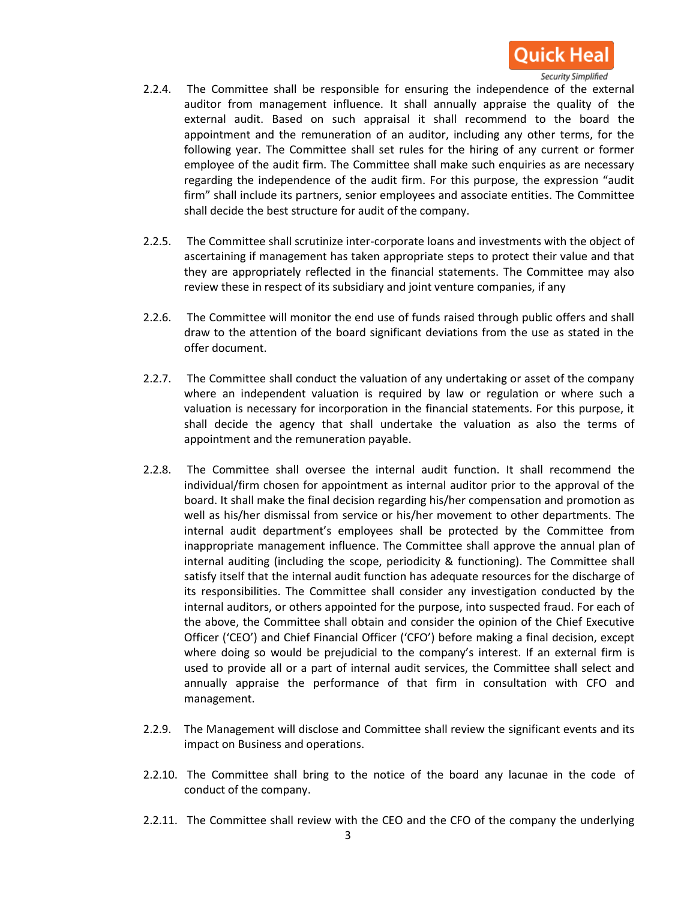

- 2.2.4. The Committee shall be responsible for ensuring the independence of the external auditor from management influence. It shall annually appraise the quality of the external audit. Based on such appraisal it shall recommend to the board the appointment and the remuneration of an auditor, including any other terms, for the following year. The Committee shall set rules for the hiring of any current or former employee of the audit firm. The Committee shall make such enquiries as are necessary regarding the independence of the audit firm. For this purpose, the expression "audit firm" shall include its partners, senior employees and associate entities. The Committee shall decide the best structure for audit of the company.
- 2.2.5. The Committee shall scrutinize inter-corporate loans and investments with the object of ascertaining if management has taken appropriate steps to protect their value and that they are appropriately reflected in the financial statements. The Committee may also review these in respect of its subsidiary and joint venture companies, if any
- 2.2.6. The Committee will monitor the end use of funds raised through public offers and shall draw to the attention of the board significant deviations from the use as stated in the offer document.
- 2.2.7. The Committee shall conduct the valuation of any undertaking or asset of the company where an independent valuation is required by law or regulation or where such a valuation is necessary for incorporation in the financial statements. For this purpose, it shall decide the agency that shall undertake the valuation as also the terms of appointment and the remuneration payable.
- 2.2.8. The Committee shall oversee the internal audit function. It shall recommend the individual/firm chosen for appointment as internal auditor prior to the approval of the board. It shall make the final decision regarding his/her compensation and promotion as well as his/her dismissal from service or his/her movement to other departments. The internal audit department's employees shall be protected by the Committee from inappropriate management influence. The Committee shall approve the annual plan of internal auditing (including the scope, periodicity & functioning). The Committee shall satisfy itself that the internal audit function has adequate resources for the discharge of its responsibilities. The Committee shall consider any investigation conducted by the internal auditors, or others appointed for the purpose, into suspected fraud. For each of the above, the Committee shall obtain and consider the opinion of the Chief Executive Officer ('CEO') and Chief Financial Officer ('CFO') before making a final decision, except where doing so would be prejudicial to the company's interest. If an external firm is used to provide all or a part of internal audit services, the Committee shall select and annually appraise the performance of that firm in consultation with CFO and management.
- 2.2.9. The Management will disclose and Committee shall review the significant events and its impact on Business and operations.
- 2.2.10. The Committee shall bring to the notice of the board any lacunae in the code of conduct of the company.
- 2.2.11. The Committee shall review with the CEO and the CFO of the company the underlying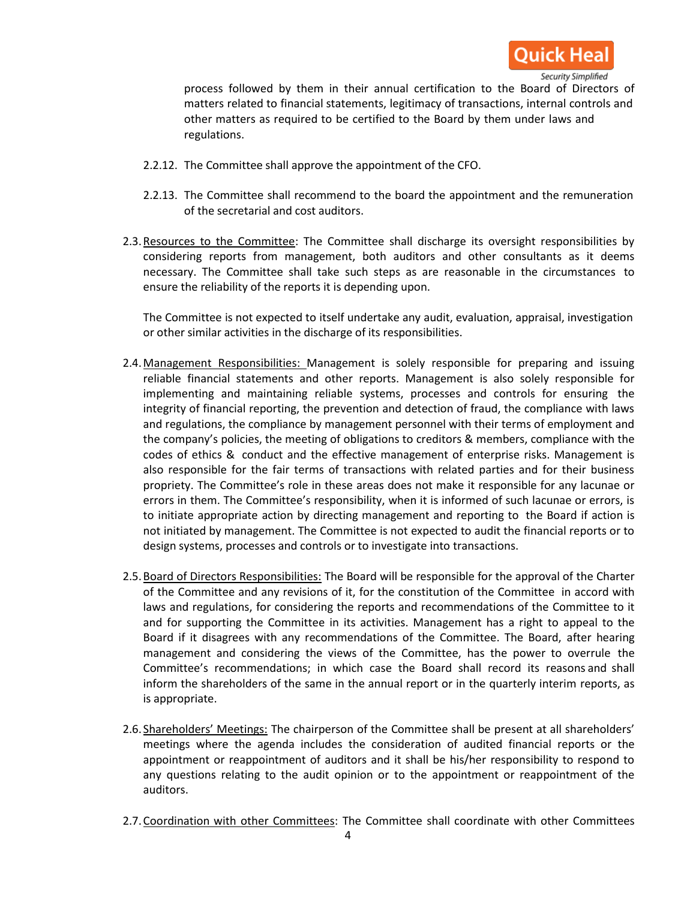

process followed by them in their annual certification to the Board of Directors of matters related to financial statements, legitimacy of transactions, internal controls and other matters as required to be certified to the Board by them under laws and regulations.

- 2.2.12. The Committee shall approve the appointment of the CFO.
- 2.2.13. The Committee shall recommend to the board the appointment and the remuneration of the secretarial and cost auditors.
- 2.3. Resources to the Committee: The Committee shall discharge its oversight responsibilities by considering reports from management, both auditors and other consultants as it deems necessary. The Committee shall take such steps as are reasonable in the circumstances to ensure the reliability of the reports it is depending upon.

The Committee is not expected to itself undertake any audit, evaluation, appraisal, investigation or other similar activities in the discharge of its responsibilities.

- 2.4.Management Responsibilities: Management is solely responsible for preparing and issuing reliable financial statements and other reports. Management is also solely responsible for implementing and maintaining reliable systems, processes and controls for ensuring the integrity of financial reporting, the prevention and detection of fraud, the compliance with laws and regulations, the compliance by management personnel with their terms of employment and the company's policies, the meeting of obligations to creditors & members, compliance with the codes of ethics & conduct and the effective management of enterprise risks. Management is also responsible for the fair terms of transactions with related parties and for their business propriety. The Committee's role in these areas does not make it responsible for any lacunae or errors in them. The Committee's responsibility, when it is informed of such lacunae or errors, is to initiate appropriate action by directing management and reporting to the Board if action is not initiated by management. The Committee is not expected to audit the financial reports or to design systems, processes and controls or to investigate into transactions.
- 2.5.Board of Directors Responsibilities: The Board will be responsible for the approval of the Charter of the Committee and any revisions of it, for the constitution of the Committee in accord with laws and regulations, for considering the reports and recommendations of the Committee to it and for supporting the Committee in its activities. Management has a right to appeal to the Board if it disagrees with any recommendations of the Committee. The Board, after hearing management and considering the views of the Committee, has the power to overrule the Committee's recommendations; in which case the Board shall record its reasons and shall inform the shareholders of the same in the annual report or in the quarterly interim reports, as is appropriate.
- 2.6. Shareholders' Meetings: The chairperson of the Committee shall be present at all shareholders' meetings where the agenda includes the consideration of audited financial reports or the appointment or reappointment of auditors and it shall be his/her responsibility to respond to any questions relating to the audit opinion or to the appointment or reappointment of the auditors.
- 2.7. Coordination with other Committees: The Committee shall coordinate with other Committees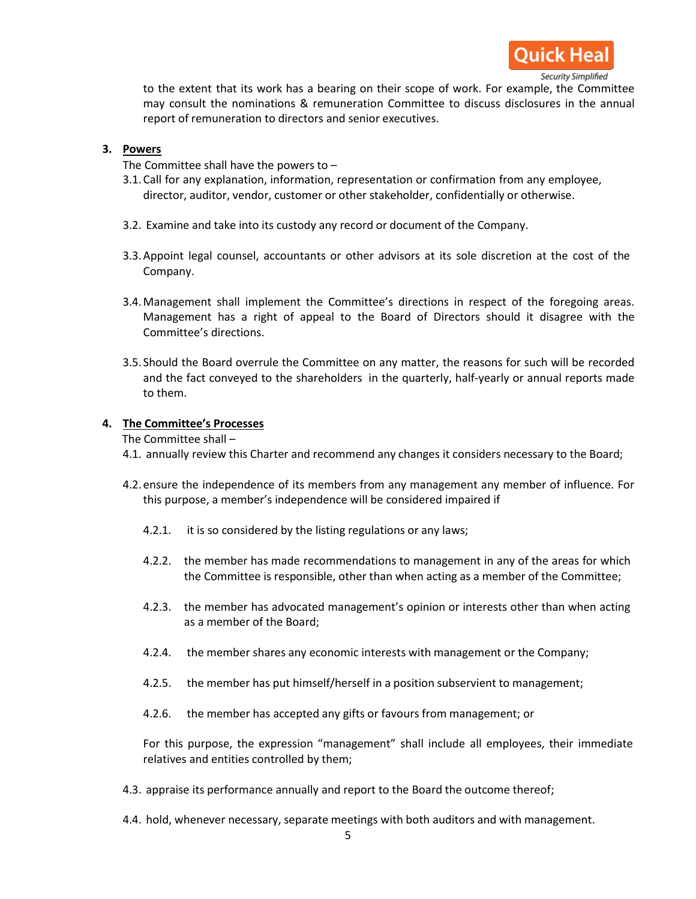

to the extent that its work has a bearing on their scope of work. For example, the Committee may consult the nominations & remuneration Committee to discuss disclosures in the annual report of remuneration to directors and senior executives.

# **3. Powers**

The Committee shall have the powers to –

- 3.1.Call for any explanation, information, representation or confirmation from any employee, director, auditor, vendor, customer or other stakeholder, confidentially or otherwise.
- 3.2. Examine and take into its custody any record or document of the Company.
- 3.3.Appoint legal counsel, accountants or other advisors at its sole discretion at the cost of the Company.
- 3.4.Management shall implement the Committee's directions in respect of the foregoing areas. Management has a right of appeal to the Board of Directors should it disagree with the Committee's directions.
- 3.5. Should the Board overrule the Committee on any matter, the reasons for such will be recorded and the fact conveyed to the shareholders in the quarterly, half-yearly or annual reports made to them.

# **4. The Committee's Processes**

The Committee shall –

- 4.1. annually review this Charter and recommend any changes it considers necessary to the Board;
- 4.2.ensure the independence of its members from any management any member of influence. For this purpose, a member's independence will be considered impaired if
	- 4.2.1. it is so considered by the listing regulations or any laws;
	- 4.2.2. the member has made recommendations to management in any of the areas for which the Committee is responsible, other than when acting as a member of the Committee;
	- 4.2.3. the member has advocated management's opinion or interests other than when acting as a member of the Board;
	- 4.2.4. the member shares any economic interests with management or the Company;
	- 4.2.5. the member has put himself/herself in a position subservient to management;
	- 4.2.6. the member has accepted any gifts or favours from management; or

For this purpose, the expression "management" shall include all employees, their immediate relatives and entities controlled by them;

- 4.3. appraise its performance annually and report to the Board the outcome thereof;
- 4.4. hold, whenever necessary, separate meetings with both auditors and with management.